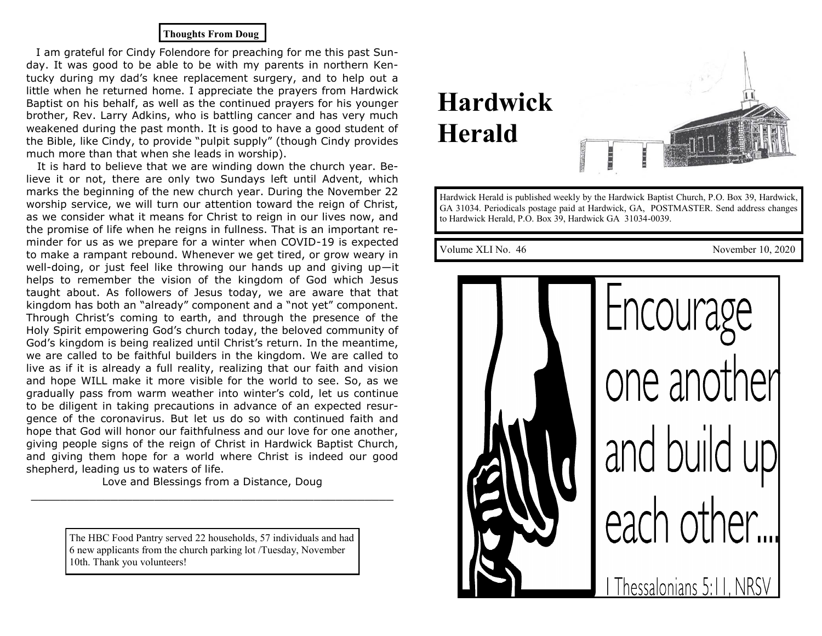#### **Thoughts From Doug**

 I am grateful for Cindy Folendore for preaching for me this past Sunday. It was good to be able to be with my parents in northern Kentucky during my dad's knee replacement surgery, and to help out a little when he returned home. I appreciate the prayers from Hardwick Baptist on his behalf, as well as the continued prayers for his younger brother, Rev. Larry Adkins, who is battling cancer and has very much weakened during the past month. It is good to have a good student of the Bible, like Cindy, to provide "pulpit supply" (though Cindy provides much more than that when she leads in worship).

 It is hard to believe that we are winding down the church year. Believe it or not, there are only two Sundays left until Advent, which marks the beginning of the new church year. During the November 22 worship service, we will turn our attention toward the reign of Christ, as we consider what it means for Christ to reign in our lives now, and the promise of life when he reigns in fullness. That is an important reminder for us as we prepare for a winter when COVID-19 is expected to make a rampant rebound. Whenever we get tired, or grow weary in well-doing, or just feel like throwing our hands up and giving up—it helps to remember the vision of the kingdom of God which Jesus taught about. As followers of Jesus today, we are aware that that kingdom has both an "already" component and a "not yet" component. Through Christ's coming to earth, and through the presence of the Holy Spirit empowering God's church today, the beloved community of God's kingdom is being realized until Christ's return. In the meantime, we are called to be faithful builders in the kingdom. We are called to live as if it is already a full reality, realizing that our faith and vision and hope WILL make it more visible for the world to see. So, as we gradually pass from warm weather into winter's cold, let us continue to be diligent in taking precautions in advance of an expected resurgence of the coronavirus. But let us do so with continued faith and hope that God will honor our faithfulness and our love for one another, giving people signs of the reign of Christ in Hardwick Baptist Church, and giving them hope for a world where Christ is indeed our good shepherd, leading us to waters of life.

Love and Blessings from a Distance, Doug \_\_\_\_\_\_\_\_\_\_\_\_\_\_\_\_\_\_\_\_\_\_\_\_\_\_\_\_\_\_\_\_\_\_\_\_\_\_\_\_\_\_\_\_\_\_\_\_\_\_

> The HBC Food Pantry served 22 households, 57 individuals and had 6 new applicants from the church parking lot /Tuesday, November 10th. Thank you volunteers!

# **Hardwick Herald**



Hardwick Herald is published weekly by the Hardwick Baptist Church, P.O. Box 39, Hardwick, GA 31034. Periodicals postage paid at Hardwick, GA, POSTMASTER. Send address changes to Hardwick Herald, P.O. Box 39, Hardwick GA 31034-0039.

Volume XLI No. 46 November 10, 2020